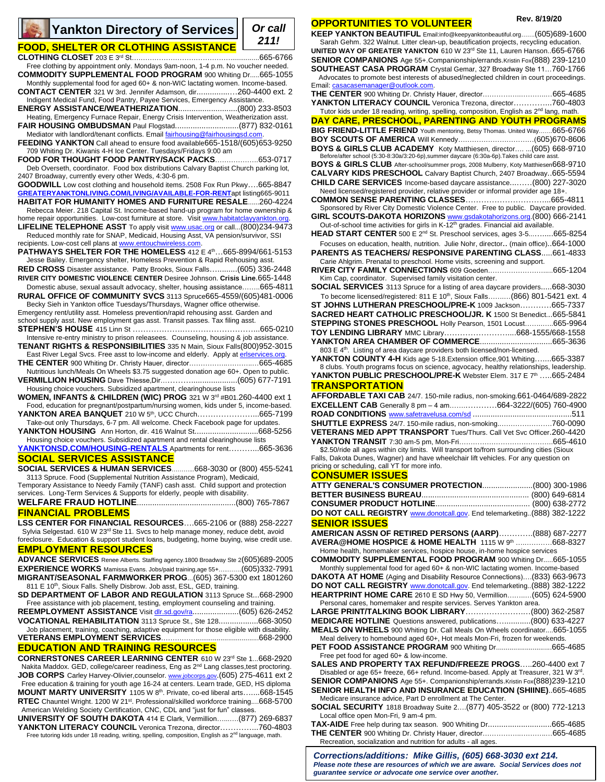## **FOOD, SHELTER OR CLOTHING ASSISTANCE**

**CLOTHING CLOSET** 203 E 3rd St….…………………………………...............665-6766 Free clothing by appointment only. Mondays 9am-noon, 1-4 p.m. No voucher needed. **COMMODITY SUPPLEMENTAL FOOD PROGRAM** 900 Whiting Dr.....665-1055

Monthly supplemental food for aged 60+ & non-WIC lactating women. Income-based. **CONTACT CENTER** 321 W 3rd. Jennifer Adamson, dir...............…260-4400 ext. 2

Indigent Medical Fund, Food Pantry, Payee Services, Emergency Assistance. **ENERGY ASSISTANCE/WEATHERIZATION**...........................(800) 233-8503

Heating, Emergency Furnace Repair, Energy Crisis Intervention, Weatherization asst. **FAIR HOUSING OMBUDSMAN** Paul Flogstad.............................(877) 832-0161

Mediator with landlord/tenant conflicts. Email fairhousing@fairhousingsd.com **FEEDING YANKTON** Call ahead to ensure food available665-1518/(605)653-9250 709 Whiting Dr. Kiwanis 4-H Ice Center. Tuesdays/Fridays 9:00 am

**FOOD FOR THOUGHT FOOD PANTRY/SACK PACKS**……………….653-0717 Deb Overseth, coordinator. Food box distributions Calvary Baptist Church parking lot,

2407 Broadway, currently every other Weds, 4:30-6 pm. **GOODWILL** Low cost clothing and household items. 2508 Fox Run Pkwy….665-8847 **[GREATERYANKTONLIVING.COM/LIVING/AVAILABLE-FOR-RENT](http://www.greateryanktonliving.com/LIVING/AVAILABLE)**apt listing665-9011 **HABITAT FOR HUMANITY HOMES AND FURNITURE RESALE**......260-4224

Rebecca Meier. 218 Capital St. Income-based hand-up program for home ownership & home repair opportunities. Low-cost furniture at store. Visit www.habitatclayyankton.c **LIFELINE TELEPHONE ASST** To apply visi[t www.usac.org](http://www.usac.org/) or call...(800)234-9473

Reduced monthly rate for SNAP, Medicaid, Housing Asst, VA pension/survivor, SSI recipients. Low-cost cell plans a[t www.entouchwireless.com.](http://www.entouchwireless.com/)

**PATHWAYS SHELTER FOR THE HOMELESS** 412 E 4th...665-8994/661-5153 Jesse Bailey. Emergency shelter, Homeless Prevention & Rapid Rehousing asst.

**RED CROSS** Disaster assistance. Patty Brooks, Sioux Falls….........(605) 336-2448 **RIVER CITY DOMESTIC VIOLENCE CENTER** Desiree Johnson. **Crisis Line**.665-1448 Domestic abuse, sexual assault advocacy, shelter, housing assistance……..665-4811

**RURAL OFFICE OF COMMUNITY SVCS** 3113 Spruce665-4559/(605)481-0006 Becky Sieh in Yankton office Tuesdays/Thursdays, Wagner office otherwise. Emergency rent/utility asst. Homeless prevention/rapid rehousing asst. Garden and

school supply asst. New employment gas asst. Transit passes. Tax filing asst. **STEPHEN'S HOUSE** 415 Linn St ……………….………………………...665-0210 Intensive re-entry ministry to prison releasees. Counseling, housing & job assistance.

**TENANT RIGHTS & RESPONSIBILITIES** 335 N Main, Sioux Falls(800)952-3015 East River Legal Svcs. Free asst to low-income and elderly. Apply a[t erlservices.org.](http://www.erlservices.org/)

**THE CENTER** 900 Whiting Dr. Christy Hauer, director……………..………..…665-4685 Nutritious lunch/Meals On Wheels \$3.75 suggested donation age 60+. Open to public.

**VERMILLION HOUSING** Dave Thiesse,Dir………….....................(605) 677-7191 Housing choice vouchers. Subsidized apartment, clearinghouse lists

**WOMEN, INFANTS & CHILDREN (WIC) PROG** 321 W 3rd #B01.260-4400 ext 1 Food, education for pregnant/postpartum/nursing women, kids under 5, income-based.

**YANKTON AREA BANQUET** 210 W 5<sup>th</sup>, UCC Church............................665-7199 Take-out only Thursdays, 6-7 pm. All welcome. Check Facebook page for updates.

**YANKTON HOUSING** Ann Horton, dir. 416 Walnut St.............................668-5256 Housing choice vouchers. Subsidized apartment and rental clearinghouse lists

**[YANKTONSD.COM/HOUSING-](http://www.yanktonsd.com/HOUSING)RENTALS** Apartments for rent………...665-3636 **SOCIAL SERVICES ASSISTANCE**

# **SOCIAL SERVICES & HUMAN SERVICES**………...668-3030 or (800) 455-5241

3113 Spruce. Food (Supplemental Nutrition Assistance Program), Medicaid,

Temporary Assistance to Needy Family (TANF) cash asst. Child support and protection services. Long-Term Services & Supports for elderly, people with disability.

**WELFARE FRAUD HOTLINE**.............................................(800) 765-7867

## **FINANCIAL PROBLEMS**

**LSS CENTER FOR FINANCIAL RESOURCES**….665-2106 or (888) 258-2227 Sylvia Selgestad. 610 W 23rd Ste 11. Svcs to help manage money, reduce debt, avoid

foreclosure. Education & support student loans, budgeting, home buying, wise credit use. **EMPLOYMENT RESOURCES**

**ADVANCE SERVICES** Renee Alberts. Staffing agency.1800 Broadway Ste 2(605)689-2005 **EXPERIENCE WORKS** Mamissa Evans. Jobs/paid training,age 55+…..…….(605)332-7991 **MIGRANT/SEASONAL FARMWORKER PROG**...(605) 367-5300 ext 1801260 811 E 10<sup>th</sup>, Sioux Falls. Shelly Disbrow. Job asst, ESL, GED, training.

**SD DEPARTMENT OF LABOR AND REGULATION** 3113 Spruce St...668-2900 Free assistance with job placement, testing, employment counseling and training.

**REEMPLOYMENT ASSISTANCE** Visit dlr.sd.gov/ra.....................(605) 626-2452 **VOCATIONAL REHABILITATION** 3113 Spruce St., Ste 128..................668-3050

Job placement, training, coaching, adaptive equipment for those eligible with disability. VETERANS EMPLOYMENT SERVICES………………....

## **EDUCATION AND TRAINING RESOURCES**

**CORNERSTONES CAREER LEARNING CENTER** 610 W 23rd Ste 1...668-2920 Nakita Maddox. GED, college/career readiness, Eng as 2<sup>nd</sup> Lang classes,test proctoring. **JOB CORPS** Carley Harvey-Olivier,counselor. [www.jobcorps.gov](http://www.jobcorps.gov/).(605) 275-4611 ext 2 Free education & training for youth age 16-24 at centers. Learn trade, GED, HS diploma **MOUNT MARTY UNIVERSITY** 1105 W 8th. Private, co-ed liberal arts…....668-1545 RTEC Chauntel Wright. 1200 W 21<sup>st</sup>. Professional/skilled workforce training....668-5700 American Welding Society Certification, CNC, CDL and "just for fun" classes.

**UNIVERSITY OF SOUTH DAKOTA** 414 E Clark, Vermillion…...….(877) 269-6837 **YANKTON LITERACY COUNCIL** Veronica Trezona, director…………...760-4803 Free tutoring kids under 18 reading, writing, spelling, composition, English as 2<sup>nd</sup> language, math.

## **OPPORTUNITIES TO VOLUNTEER**

**KEEP YANKTON BEAUTIFUL** Email:info@keepyanktonbeautiful.org…….(605)689-1600 Sarah Gehm. 322 Walnut. Litter clean-up, beautification projects, recycling education. **UNITED WAY OF GREATER YANKTON** 610 W 23rd Ste 11, Lauren Hanson..665-6766 **SENIOR COMPANIONS** Age 55+.Companionship/errands.Kristin Fox(888) 239-1210 **SOUTHEAST CASA PROGRAM** Crystal Gemar, 327 Broadway Ste 11…760-1766 Advocates to promote best interests of abused/neglected children in court proceedings. Email[: casacasemanager@outlook.com.](mailto:casacasemanager@outlook.com) **THE CENTER** 900 Whiting Dr. Christy Hauer, director……………..………..…665-4685 YANKTON LITERACY COUNCIL Veronica Trezona, director…………..760-4803 Tutor kids under 18 reading, writing, spelling, composition, English as 2<sup>nd</sup> lang, math. **DAY CARE, PRESCHOOL, PARENTING AND YOUTH PROGRAMS BIG FRIEND-LITTLE FRIEND** Youth mentoring, Betsy Thomas. United Way…….665-6766 **BOY SCOUTS OF AMERICA** Will Kennedy……………………………(605)670-8606 **BOYS & GIRLS CLUB ACADEMY** Koty Matthiesen, director…. ...(605) 668-9710 Before/after school (5:30-8:30a/3:20-6p),summer daycare (6:30a-6p).Takes child care asst. **BOYS & GIRLS CLUB** After-school/summer progs, 2008 Mulberry, Koty Matthiesen668-9710 **CALVARY KIDS PRESCHOOL** Calvary Baptist Church, 2407 Broadway..665-5594 **CHILD CARE SERVICES** Income-based daycare assistance...……(800) 227-3020 Need licensed/registered provider, relative provider or informal provider age 18+. **COMMON SENSE PARENTING CLASSES**…………………………...665-4811 Sponsored by River City Domestic Violence Center. Free to public. Daycare provided. **GIRL SCOUTS-DAKOTA HORIZONS** [www.gsdakotahorizons.org.](http://www.gsdakotahorizons.org/)(800) 666-2141

Out-of-school time activities for girls in K-12<sup>th</sup> grades. Financial aid available. **HEAD START CENTER** 500 E 2<sup>nd</sup> St. Preschool services, ages 3-5............665-8254

Focuses on education, health, nutrition. Julie Nohr, director.. (main office)..664-1000 **PARENTS AS TEACHERS/ RESPONSIVE PARENTING CLASS**.....661-4833

Carie Ahlgrim. Prenatal to preschool. Home visits, screening and support. **RIVER CITY FAMILY CONNECTIONS** 609 Goeden…………………….....665-1204 Kim Cap, coordinator. Supervised family visitation center.

**SOCIAL SERVICES** 3113 Spruce for a listing of area daycare providers.....668-3030 To become licensed/registered: 811 E 10<sup>th</sup>, Sioux Falls.......... (866) 801-5421 ext. 4 **ST JOHNS LUTHERAN PRESCHOOL/PRE-K** 1009 Jackson…………665-7337 **SACRED HEART CATHOLIC PRESCHOOL/JR. K** 1500 St Benedict...665-5841 **STEPPING STONES PRESCHOOL** Holly Pearson, 1501 Locust……..…..665-9964 **TOY LENDING LIBRARY** MMC Library……………………....668-1555/668-1558 **YANKTON AREA CHAMBER OF COMMERCE**.................................665-3636

803 E 4<sup>th</sup>. Listing of area daycare providers both licensed/non-licensed. **YANKTON COUNTY 4-H** Kids age 5-18.Extension office,901 Whiting…....665-3387 8 clubs. Youth programs focus on science, agvocacy, healthy relationships, leadership.

**YANKTON PUBLIC PRESCHOOL/PRE-K** Webster Elem. 317 E 7th …..665-2484 **TRANSPORTATION**

**AFFORDABLE TAXI CAB** 24/7. 150-mile radius, non-smoking.661-0464/689-2822 **EXCELLENT CAB** Generally 8 pm – 4 am…….…………664-3222/(605) 760-4900 **ROAD CONDITIONS** [www.safetravelusa.com/sd](http://www.safetravelusa.com/sd) .............................................511 **SHUTTLE EXPRESS** 24/7. 150-mile radius, non-smoking..………………….760-0090 **VETERANS MED APPT TRANSPORT** Tues/Thurs. Call Vet Svc Officer.260-4420 **YANKTON TRANSIT** 7:30 am-5 pm, Mon-Fri…………………………………..665-4610

\$2.50/ride all ages within city limits. Will transport to/from surrounding cities (Sioux Falls, Dakota Dunes, Wagner) and have wheelchair lift vehicles. For any question on pricing or scheduling, call YT for more info.

## **CONSUMER ISSUES**

| ATTY GENERAL'S CONSUMER PROTECTION(800) 300-1986                        |  |
|-------------------------------------------------------------------------|--|
|                                                                         |  |
|                                                                         |  |
| DO NOT CALL REGISTRY www.donotcall.gov. End telemarketing(888) 382-1222 |  |
| <b>SENIOR ISSUES</b>                                                    |  |

**AMERICAN ASSN OF RETIRED PERSONS (AARP)**………….(888) 687-2277 **AVERA@HOME HOSPICE & HOME HEALTH** 1115 W 9th ….…………668-8327

Home health, homemaker services, hospice house, in-home hospice services **COMMODITY SUPPLEMENTAL FOOD PROGRAM** 900 Whiting Dr.....665-1055

Monthly supplemental food for aged 60+ & non-WIC lactating women. Income-based **DAKOTA AT HOME** (Aging and Disability Resource Connections)….(833) 663-9673 DO NOT CALL REGISTRY **www.donotcall.gov.** End telemarketing..(888) 382-1222

**HEARTPRINT HOME CARE** 2610 E SD Hwy 50, Vermillion……..…(605) 624-5900 Personal cares, homemaker and respite services. Serves Yankton area.

**LARGE PRINT/TALKING BOOK LIBRARY**………………….…(800) 362-2587 **MEDICARE HOTLINE** Questions answered, publications…............(800) 633-4227

**MEALS ON WHEELS** 900 Whiting Dr. Call Meals On Wheels coordinator....665-1055 Meal delivery to homebound aged 60+, Hot meals Mon-Fri, frozen for weekends.

**PET FOOD ASSISTANCE PROGRAM** 900 Whiting Dr.............................665-4685 Free pet food for aged 60+ & low-income.

**SALES AND PROPERTY TAX REFUND/FREEZE PROGS**…..260-4400 ext 7 Disabled or age 65+ freeze, 66+ refund. Income-based. Apply at Treasurer, 321 W 3<sup>rd</sup>.

**SENIOR COMPANIONS** Age 55+. Companionship/errands.Kristin Fox(888)239-1210 **SENIOR HEALTH INFO AND INSURANCE EDUCATION (SHIINE)**..665-4685 Medicare insurance advice, Part D enrollment at The Center.

**SOCIAL SECURITY** 1818 Broadway Suite 2….(877) 405-3522 or (800) 772-1213 Local office open Mon-Fri, 9 am-4 pm.

| <b>TAX-AIDE</b> Free help during tax season. 900 Whiting Dr665-4685 |  |
|---------------------------------------------------------------------|--|
| <b>THE CENTER</b> 900 Whiting Dr. Christy Hauer, director665-4685   |  |
| Recreation, socialization and nutrition for adults - all ages.      |  |

*Corrections/additions: Mike Gillis, (605) 668-3030 ext 214. Please note these are resources of which we are aware. Social Services does not guarantee service or advocate one service over another.*